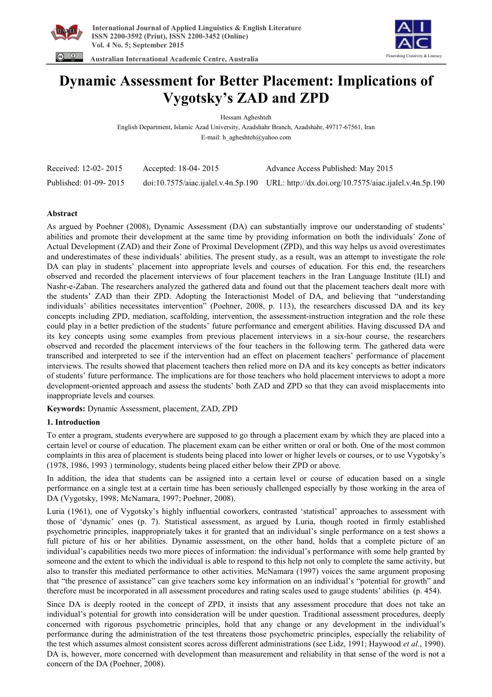



 **Australian International Academic Centre, Australia** 

# **Dynamic Assessment for Better Placement: Implications of Vygotsky's ZAD and ZPD**

Hessam Agheshteh

English Department, Islamic Azad University, Azadshahr Branch, Azadshahr, 49717-67561, Iran E-mail: h\_agheshteh@yahoo.com

| Received: 12-02-2015  | Accepted: 18-04-2015 | Advance Access Published: May 2015                                                         |
|-----------------------|----------------------|--------------------------------------------------------------------------------------------|
| Published: 01-09-2015 |                      | doi:10.7575/aiac.ijalel.v.4n.5p.190 URL: http://dx.doi.org/10.7575/aiac.ijalel.v.4n.5p.190 |

## **Abstract**

As argued by Poehner (2008), Dynamic Assessment (DA) can substantially improve our understanding of students' abilities and promote their development at the same time by providing information on both the individuals' Zone of Actual Development (ZAD) and their Zone of Proximal Development (ZPD), and this way helps us avoid overestimates and underestimates of these individuals' abilities. The present study, as a result, was an attempt to investigate the role DA can play in students' placement into appropriate levels and courses of education. For this end, the researchers observed and recorded the placement interviews of four placement teachers in the Iran Language Institute (ILI) and Nashr-e-Zaban. The researchers analyzed the gathered data and found out that the placement teachers dealt more with the students' ZAD than their ZPD. Adopting the Interactionist Model of DA, and believing that "understanding individuals' abilities necessitates intervention" (Poehner, 2008, p. 113), the researchers discussed DA and its key concepts including ZPD, mediation, scaffolding, intervention, the assessment-instruction integration and the role these could play in a better prediction of the students' future performance and emergent abilities. Having discussed DA and its key concepts using some examples from previous placement interviews in a six-hour course, the researchers observed and recorded the placement interviews of the four teachers in the following term. The gathered data were transcribed and interpreted to see if the intervention had an effect on placement teachers' performance of placement interviews. The results showed that placement teachers then relied more on DA and its key concepts as better indicators of students' future performance. The implications are for those teachers who hold placement interviews to adopt a more development-oriented approach and assess the students' both ZAD and ZPD so that they can avoid misplacements into inappropriate levels and courses.

**Keywords:** Dynamic Assessment, placement, ZAD, ZPD

# **1. Introduction**

To enter a program, students everywhere are supposed to go through a placement exam by which they are placed into a certain level or course of education. The placement exam can be either written or oral or both. One of the most common complaints in this area of placement is students being placed into lower or higher levels or courses, or to use Vygotsky's (1978, 1986, 1993 ) terminology, students being placed either below their ZPD or above.

In addition, the idea that students can be assigned into a certain level or course of education based on a single performance on a single test at a certain time has been seriously challenged especially by those working in the area of DA (Vygotsky, 1998; McNamara, 1997; Poehner, 2008).

Luria (1961), one of Vygotsky's highly influential coworkers, contrasted 'statistical' approaches to assessment with those of 'dynamic' ones (p. 7). Statistical assessment, as argued by Luria, though rooted in firmly established psychometric principles, inappropriately takes it for granted that an individual's single performance on a test shows a full picture of his or her abilities. Dynamic assessment, on the other hand, holds that a complete picture of an individual's capabilities needs two more pieces of information: the individual's performance with some help granted by someone and the extent to which the individual is able to respond to this help not only to complete the same activity, but also to transfer this mediated performance to other activities. McNamara (1997) voices the same argument proposing that "the presence of assistance" can give teachers some key information on an individual's "potential for growth" and therefore must be incorporated in all assessment procedures and rating scales used to gauge students' abilities (p. 454).

Since DA is deeply rooted in the concept of ZPD, it insists that any assessment procedure that does not take an individual's potential for growth into consideration will be under question. Traditional assessment procedures, deeply concerned with rigorous psychometric principles, hold that any change or any development in the individual's performance during the administration of the test threatens those psychometric principles, especially the reliability of the test which assumes almost consistent scores across different administrations (see Lidz, 1991; Haywood *et al.*, 1990). DA is, however, more concerned with development than measurement and reliability in that sense of the word is not a concern of the DA (Poehner, 2008).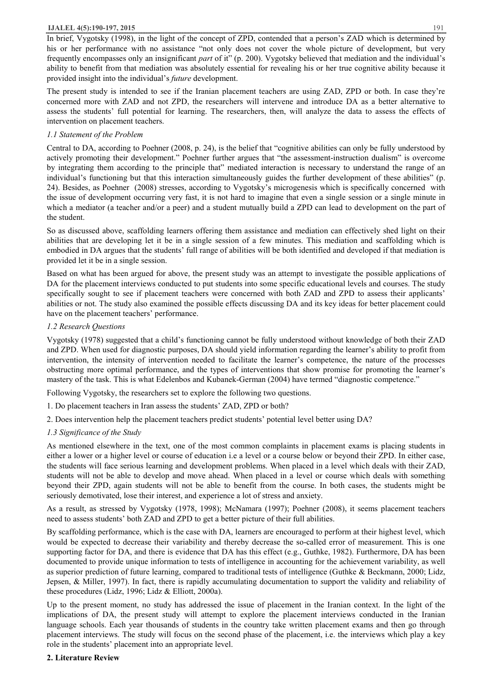#### **IJALEL 4(5):190-197, 2015** 191

In brief, Vygotsky (1998), in the light of the concept of ZPD, contended that a person's ZAD which is determined by his or her performance with no assistance "not only does not cover the whole picture of development, but very frequently encompasses only an insignificant *part* of it" (p. 200). Vygotsky believed that mediation and the individual's ability to benefit from that mediation was absolutely essential for revealing his or her true cognitive ability because it provided insight into the individual's *future* development.

The present study is intended to see if the Iranian placement teachers are using ZAD, ZPD or both. In case they're concerned more with ZAD and not ZPD, the researchers will intervene and introduce DA as a better alternative to assess the students' full potential for learning. The researchers, then, will analyze the data to assess the effects of intervention on placement teachers.

## *1.1 Statement of the Problem*

Central to DA, according to Poehner (2008, p. 24), is the belief that "cognitive abilities can only be fully understood by actively promoting their development." Poehner further argues that "the assessment-instruction dualism" is overcome by integrating them according to the principle that" mediated interaction is necessary to understand the range of an individual's functioning but that this interaction simultaneously guides the further development of these abilities" (p. 24). Besides, as Poehner (2008) stresses, according to Vygotsky's microgenesis which is specifically concerned with the issue of development occurring very fast, it is not hard to imagine that even a single session or a single minute in which a mediator (a teacher and/or a peer) and a student mutually build a ZPD can lead to development on the part of the student.

So as discussed above, scaffolding learners offering them assistance and mediation can effectively shed light on their abilities that are developing let it be in a single session of a few minutes. This mediation and scaffolding which is embodied in DA argues that the students' full range of abilities will be both identified and developed if that mediation is provided let it be in a single session.

Based on what has been argued for above, the present study was an attempt to investigate the possible applications of DA for the placement interviews conducted to put students into some specific educational levels and courses. The study specifically sought to see if placement teachers were concerned with both ZAD and ZPD to assess their applicants' abilities or not. The study also examined the possible effects discussing DA and its key ideas for better placement could have on the placement teachers' performance.

## *1.2 Research Questions*

Vygotsky (1978) suggested that a child's functioning cannot be fully understood without knowledge of both their ZAD and ZPD. When used for diagnostic purposes, DA should yield information regarding the learner's ability to profit from intervention, the intensity of intervention needed to facilitate the learner's competence, the nature of the processes obstructing more optimal performance, and the types of interventions that show promise for promoting the learner's mastery of the task. This is what Edelenbos and Kubanek-German (2004) have termed "diagnostic competence."

Following Vygotsky, the researchers set to explore the following two questions.

- 1. Do placement teachers in Iran assess the students' ZAD, ZPD or both?
- 2. Does intervention help the placement teachers predict students' potential level better using DA?

# *1.3 Significance of the Study*

As mentioned elsewhere in the text, one of the most common complaints in placement exams is placing students in either a lower or a higher level or course of education i.e a level or a course below or beyond their ZPD. In either case, the students will face serious learning and development problems. When placed in a level which deals with their ZAD, students will not be able to develop and move ahead. When placed in a level or course which deals with something beyond their ZPD, again students will not be able to benefit from the course. In both cases, the students might be seriously demotivated, lose their interest, and experience a lot of stress and anxiety.

As a result, as stressed by Vygotsky (1978, 1998); McNamara (1997); Poehner (2008), it seems placement teachers need to assess students' both ZAD and ZPD to get a better picture of their full abilities.

By scaffolding performance, which is the case with DA, learners are encouraged to perform at their highest level, which would be expected to decrease their variability and thereby decrease the so-called error of measurement. This is one supporting factor for DA, and there is evidence that DA has this effect (e.g., Guthke, 1982). Furthermore, DA has been documented to provide unique information to tests of intelligence in accounting for the achievement variability, as well as superior prediction of future learning, compared to traditional tests of intelligence (Guthke & Beckmann, 2000; Lidz, Jepsen, & Miller, 1997). In fact, there is rapidly accumulating documentation to support the validity and reliability of these procedures (Lidz, 1996; Lidz & Elliott, 2000a).

Up to the present moment, no study has addressed the issue of placement in the Iranian context. In the light of the implications of DA, the present study will attempt to explore the placement interviews conducted in the Iranian language schools. Each year thousands of students in the country take written placement exams and then go through placement interviews. The study will focus on the second phase of the placement, i.e. the interviews which play a key role in the students' placement into an appropriate level.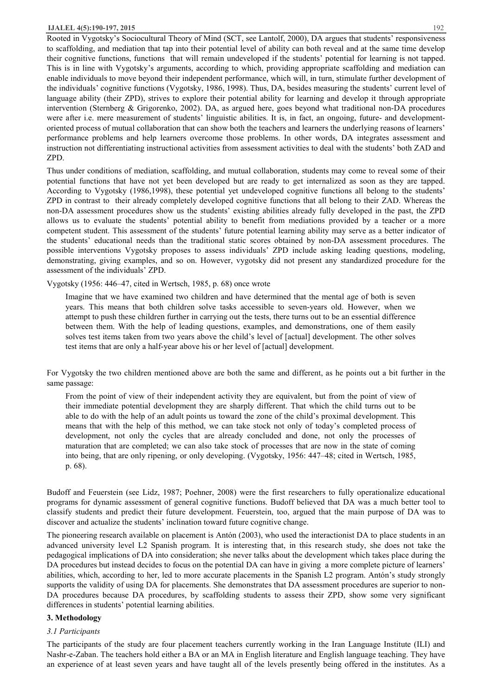#### **IJALEL 4(5):190-197, 2015** 192

Rooted in Vygotsky's Sociocultural Theory of Mind (SCT, see Lantolf, 2000), DA argues that students' responsiveness to scaffolding, and mediation that tap into their potential level of ability can both reveal and at the same time develop their cognitive functions, functions that will remain undeveloped if the students' potential for learning is not tapped. This is in line with Vygotsky's arguments, according to which, providing appropriate scaffolding and mediation can enable individuals to move beyond their independent performance, which will, in turn, stimulate further development of the individuals' cognitive functions (Vygotsky, 1986, 1998). Thus, DA, besides measuring the students' current level of language ability (their ZPD), strives to explore their potential ability for learning and develop it through appropriate intervention (Sternberg & Grigorenko, 2002). DA, as argued here, goes beyond what traditional non-DA procedures were after i.e. mere measurement of students' linguistic abilities. It is, in fact, an ongoing, future- and developmentoriented process of mutual collaboration that can show both the teachers and learners the underlying reasons of learners' performance problems and help learners overcome those problems. In other words, DA integrates assessment and instruction not differentiating instructional activities from assessment activities to deal with the students' both ZAD and ZPD.

Thus under conditions of mediation, scaffolding, and mutual collaboration, students may come to reveal some of their potential functions that have not yet been developed but are ready to get internalized as soon as they are tapped. According to Vygotsky (1986,1998), these potential yet undeveloped cognitive functions all belong to the students' ZPD in contrast to their already completely developed cognitive functions that all belong to their ZAD. Whereas the non-DA assessment procedures show us the students' existing abilities already fully developed in the past, the ZPD allows us to evaluate the students' potential ability to benefit from mediations provided by a teacher or a more competent student. This assessment of the students' future potential learning ability may serve as a better indicator of the students' educational needs than the traditional static scores obtained by non-DA assessment procedures. The possible interventions Vygotsky proposes to assess individuals' ZPD include asking leading questions, modeling, demonstrating, giving examples, and so on. However, vygotsky did not present any standardized procedure for the assessment of the individuals' ZPD.

Vygotsky (1956: 446–47, cited in Wertsch, 1985, p. 68) once wrote

Imagine that we have examined two children and have determined that the mental age of both is seven years. This means that both children solve tasks accessible to seven-years old. However, when we attempt to push these children further in carrying out the tests, there turns out to be an essential difference between them. With the help of leading questions, examples, and demonstrations, one of them easily solves test items taken from two years above the child's level of [actual] development. The other solves test items that are only a half-year above his or her level of [actual] development.

For Vygotsky the two children mentioned above are both the same and different, as he points out a bit further in the same passage:

From the point of view of their independent activity they are equivalent, but from the point of view of their immediate potential development they are sharply different. That which the child turns out to be able to do with the help of an adult points us toward the zone of the child's proximal development. This means that with the help of this method, we can take stock not only of today's completed process of development, not only the cycles that are already concluded and done, not only the processes of maturation that are completed; we can also take stock of processes that are now in the state of coming into being, that are only ripening, or only developing. (Vygotsky, 1956: 447–48; cited in Wertsch, 1985, p. 68).

Budoff and Feuerstein (see Lidz, 1987; Poehner, 2008) were the first researchers to fully operationalize educational programs for dynamic assessment of general cognitive functions. Budoff believed that DA was a much better tool to classify students and predict their future development. Feuerstein, too, argued that the main purpose of DA was to discover and actualize the students' inclination toward future cognitive change.

The pioneering research available on placement is Antón (2003), who used the interactionist DA to place students in an advanced university level L2 Spanish program. It is interesting that, in this research study, she does not take the pedagogical implications of DA into consideration; she never talks about the development which takes place during the DA procedures but instead decides to focus on the potential DA can have in giving a more complete picture of learners' abilities, which, according to her, led to more accurate placements in the Spanish L2 program. Antón's study strongly supports the validity of using DA for placements. She demonstrates that DA assessment procedures are superior to non-DA procedures because DA procedures, by scaffolding students to assess their ZPD, show some very significant differences in students' potential learning abilities.

## **3. Methodology**

#### *3.1 Participants*

The participants of the study are four placement teachers currently working in the Iran Language Institute (ILI) and Nashr-e-Zaban. The teachers hold either a BA or an MA in English literature and English language teaching. They have an experience of at least seven years and have taught all of the levels presently being offered in the institutes. As a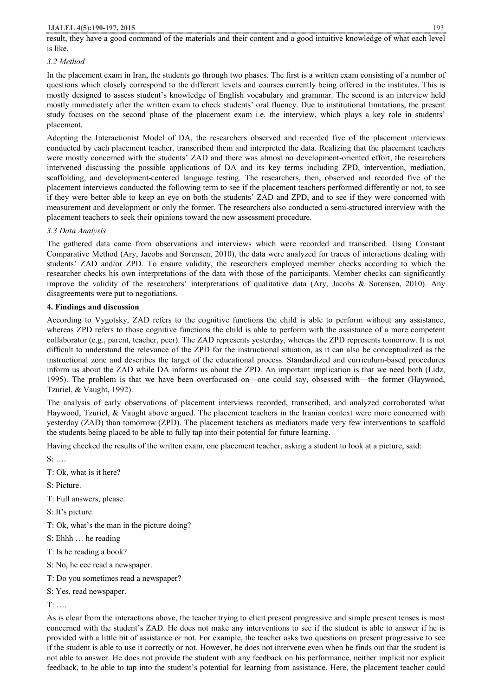result, they have a good command of the materials and their content and a good intuitive knowledge of what each level is like.

## *3.2 Method*

In the placement exam in Iran, the students go through two phases. The first is a written exam consisting of a number of questions which closely correspond to the different levels and courses currently being offered in the institutes. This is mostly designed to assess student's knowledge of English vocabulary and grammar. The second is an interview held mostly immediately after the written exam to check students' oral fluency. Due to institutional limitations, the present study focuses on the second phase of the placement exam i.e. the interview, which plays a key role in students' placement.

Adopting the Interactionist Model of DA, the researchers observed and recorded five of the placement interviews conducted by each placement teacher, transcribed them and interpreted the data. Realizing that the placement teachers were mostly concerned with the students' ZAD and there was almost no development-oriented effort, the researchers intervened discussing the possible applications of DA and its key terms including ZPD, intervention, mediation, scaffolding, and development-centered language testing. The researchers, then, observed and recorded five of the placement interviews conducted the following term to see if the placement teachers performed differently or not, to see if they were better able to keep an eye on both the students' ZAD and ZPD, and to see if they were concerned with measurement and development or only the former. The researchers also conducted a semi-structured interview with the placement teachers to seek their opinions toward the new assessment procedure.

## *3.3 Data Analysis*

The gathered data came from observations and interviews which were recorded and transcribed. Using Constant Comparative Method (Ary, Jacobs and Sorensen, 2010), the data were analyzed for traces of interactions dealing with students' ZAD and/or ZPD. To ensure validity, the researchers employed member checks according to which the researcher checks his own interpretations of the data with those of the participants. Member checks can significantly improve the validity of the researchers' interpretations of qualitative data (Ary, Jacobs & Sorensen, 2010). Any disagreements were put to negotiations.

## **4. Findings and discussion**

According to Vygotsky, ZAD refers to the cognitive functions the child is able to perform without any assistance, whereas ZPD refers to those cognitive functions the child is able to perform with the assistance of a more competent collaborator (e.g., parent, teacher, peer). The ZAD represents yesterday, whereas the ZPD represents tomorrow. It is not difficult to understand the relevance of the ZPD for the instructional situation, as it can also be conceptualized as the instructional zone and describes the target of the educational process. Standardized and curriculum-based procedures inform us about the ZAD while DA informs us about the ZPD. An important implication is that we need both (Lidz, 1995). The problem is that we have been overfocused on—one could say, obsessed with—the former (Haywood, Tzuriel, & Vaught, 1992).

The analysis of early observations of placement interviews recorded, transcribed, and analyzed corroborated what Haywood, Tzuriel, & Vaught above argued. The placement teachers in the Iranian context were more concerned with yesterday (ZAD) than tomorrow (ZPD). The placement teachers as mediators made very few interventions to scaffold the students being placed to be able to fully tap into their potential for future learning.

Having checked the results of the written exam, one placement teacher, asking a student to look at a picture, said:

S: ….

- T: Ok, what is it here?
- S: Picture.
- T: Full answers, please.
- S: It's picture
- T: Ok, what's the man in the picture doing?
- S: Ehhh … he reading
- T: Is he reading a book?
- S: No, he eee read a newspaper.
- T: Do you sometimes read a newspaper?
- S: Yes, read newspaper.

T: ….

As is clear from the interactions above, the teacher trying to elicit present progressive and simple present tenses is most concerned with the student's ZAD. He does not make any interventions to see if the student is able to answer if he is provided with a little bit of assistance or not. For example, the teacher asks two questions on present progressive to see if the student is able to use it correctly or not. However, he does not intervene even when he finds out that the student is not able to answer. He does not provide the student with any feedback on his performance, neither implicit nor explicit feedback, to be able to tap into the student's potential for learning from assistance. Here, the placement teacher could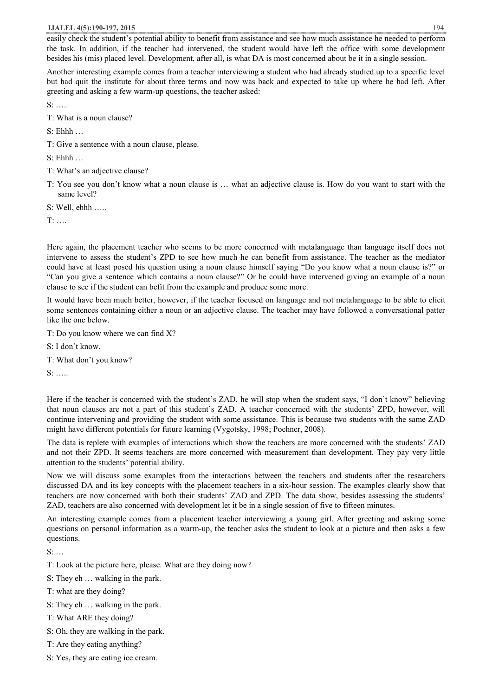easily check the student's potential ability to benefit from assistance and see how much assistance he needed to perform the task. In addition, if the teacher had intervened, the student would have left the office with some development besides his (mis) placed level. Development, after all, is what DA is most concerned about be it in a single session.

Another interesting example comes from a teacher interviewing a student who had already studied up to a specific level but had quit the institute for about three terms and now was back and expected to take up where he had left. After greeting and asking a few warm-up questions, the teacher asked:

S: …..

- T: What is a noun clause?
- S: Ehhh …
- T: Give a sentence with a noun clause, please.

S: Ehhh …

- T: What's an adjective clause?
- T: You see you don't know what a noun clause is … what an adjective clause is. How do you want to start with the same level?

S: Well, ehhh …..

 $T^*$  ….

Here again, the placement teacher who seems to be more concerned with metalanguage than language itself does not intervene to assess the student's ZPD to see how much he can benefit from assistance. The teacher as the mediator could have at least posed his question using a noun clause himself saying "Do you know what a noun clause is?" or "Can you give a sentence which contains a noun clause?" Or he could have intervened giving an example of a noun clause to see if the student can befit from the example and produce some more.

It would have been much better, however, if the teacher focused on language and not metalanguage to be able to elicit some sentences containing either a noun or an adjective clause. The teacher may have followed a conversational patter like the one below.

T: Do you know where we can find X?

S: I don't know.

T: What don't you know?

S: …..

Here if the teacher is concerned with the student's ZAD, he will stop when the student says, "I don't know" believing that noun clauses are not a part of this student's ZAD. A teacher concerned with the students' ZPD, however, will continue intervening and providing the student with some assistance. This is because two students with the same ZAD might have different potentials for future learning (Vygotsky, 1998; Poehner, 2008).

The data is replete with examples of interactions which show the teachers are more concerned with the students' ZAD and not their ZPD. It seems teachers are more concerned with measurement than development. They pay very little attention to the students' potential ability.

Now we will discuss some examples from the interactions between the teachers and students after the researchers discussed DA and its key concepts with the placement teachers in a six-hour session. The examples clearly show that teachers are now concerned with both their students' ZAD and ZPD. The data show, besides assessing the students' ZAD, teachers are also concerned with development let it be in a single session of five to fifteen minutes.

An interesting example comes from a placement teacher interviewing a young girl. After greeting and asking some questions on personal information as a warm-up, the teacher asks the student to look at a picture and then asks a few questions.

S: …

- T: Look at the picture here, please. What are they doing now?
- S: They eh … walking in the park.
- T: what are they doing?
- S: They eh … walking in the park.
- T: What ARE they doing?
- S: Oh, they are walking in the park.
- T: Are they eating anything?
- S: Yes, they are eating ice cream.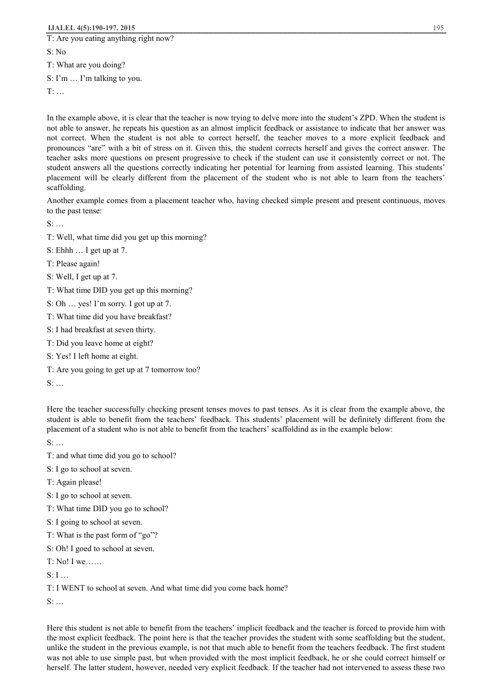T: Are you eating anything right now?

S: No

T: What are you doing?

S: I'm … I'm talking to you.

T: …

In the example above, it is clear that the teacher is now trying to delve more into the student's ZPD. When the student is not able to answer, he repeats his question as an almost implicit feedback or assistance to indicate that her answer was not correct. When the student is not able to correct herself, the teacher moves to a more explicit feedback and pronounces "are" with a bit of stress on it. Given this, the student corrects herself and gives the correct answer. The teacher asks more questions on present progressive to check if the student can use it consistently correct or not. The student answers all the questions correctly indicating her potential for learning from assisted learning. This students' placement will be clearly different from the placement of the student who is not able to learn from the teachers' scaffolding.

Another example comes from a placement teacher who, having checked simple present and present continuous, moves to the past tense:

 $S:$  …

- T: Well, what time did you get up this morning?
- S: Ehhh … I get up at 7.
- T: Please again!
- S: Well, I get up at 7.
- T: What time DID you get up this morning?
- S: Oh … yes! I'm sorry. I got up at 7.
- T: What time did you have breakfast?
- S: I had breakfast at seven thirty.
- T: Did you leave home at eight?
- S: Yes! I left home at eight.
- T: Are you going to get up at 7 tomorrow too?

S: …

Here the teacher successfully checking present tenses moves to past tenses. As it is clear from the example above, the student is able to benefit from the teachers' feedback. This students' placement will be definitely different from the placement of a student who is not able to benefit from the teachers' scaffoldind as in the example below:

 $S:$  …

- T: and what time did you go to school?
- S: I go to school at seven.
- T: Again please!
- S: I go to school at seven.
- T: What time DID you go to school?
- S: I going to school at seven.
- T: What is the past form of "go"?
- S: Oh! I goed to school at seven.
- T: No! I we……
- $S: I \longrightarrow$

T: I WENT to school at seven. And what time did you come back home?

S: …

Here this student is not able to benefit from the teachers' implicit feedback and the teacher is forced to provide him with the most explicit feedback. The point here is that the teacher provides the student with some scaffolding but the student, unlike the student in the previous example, is not that much able to benefit from the teachers feedback. The first student was not able to use simple past, but when provided with the most implicit feedback, he or she could correct himself or herself. The latter student, however, needed very explicit feedback. If the teacher had not intervened to assess these two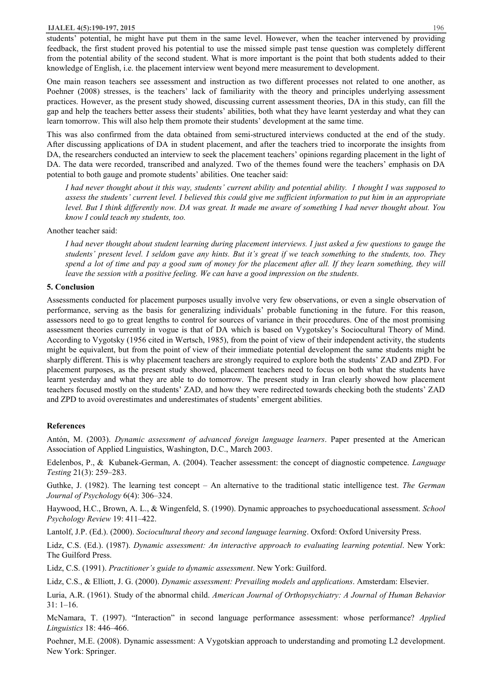students' potential, he might have put them in the same level. However, when the teacher intervened by providing feedback, the first student proved his potential to use the missed simple past tense question was completely different from the potential ability of the second student. What is more important is the point that both students added to their knowledge of English, i.e. the placement interview went beyond mere measurement to development.

One main reason teachers see assessment and instruction as two different processes not related to one another, as Poehner (2008) stresses, is the teachers' lack of familiarity with the theory and principles underlying assessment practices. However, as the present study showed, discussing current assessment theories, DA in this study, can fill the gap and help the teachers better assess their students' abilities, both what they have learnt yesterday and what they can learn tomorrow. This will also help them promote their students' development at the same time.

This was also confirmed from the data obtained from semi-structured interviews conducted at the end of the study. After discussing applications of DA in student placement, and after the teachers tried to incorporate the insights from DA, the researchers conducted an interview to seek the placement teachers' opinions regarding placement in the light of DA. The data were recorded, transcribed and analyzed. Two of the themes found were the teachers' emphasis on DA potential to both gauge and promote students' abilities. One teacher said:

I had never thought about it this way, students' current ability and potential ability. I thought I was supposed to assess the students' current level. I believed this could give me sufficient information to put him in an appropriate level. But I think differently now. DA was great. It made me aware of something I had never thought about. You *know I could teach my students, too.* 

#### Another teacher said:

I had never thought about student learning during placement interviews. I just asked a few questions to gauge the students' present level. I seldom gave any hints. But it's great if we teach something to the students, too. They spend a lot of time and pay a good sum of money for the placement after all. If they learn something, they will *leave the session with a positive feeling. We can have a good impression on the students.* 

#### **5. Conclusion**

Assessments conducted for placement purposes usually involve very few observations, or even a single observation of performance, serving as the basis for generalizing individuals' probable functioning in the future. For this reason, assessors need to go to great lengths to control for sources of variance in their procedures. One of the most promising assessment theories currently in vogue is that of DA which is based on Vygotskey's Sociocultural Theory of Mind. According to Vygotsky (1956 cited in Wertsch, 1985), from the point of view of their independent activity, the students might be equivalent, but from the point of view of their immediate potential development the same students might be sharply different. This is why placement teachers are strongly required to explore both the students' ZAD and ZPD. For placement purposes, as the present study showed, placement teachers need to focus on both what the students have learnt yesterday and what they are able to do tomorrow. The present study in Iran clearly showed how placement teachers focused mostly on the students' ZAD, and how they were redirected towards checking both the students' ZAD and ZPD to avoid overestimates and underestimates of students' emergent abilities.

#### **References**

Antón, M. (2003). *Dynamic assessment of advanced foreign language learners*. Paper presented at the American Association of Applied Linguistics, Washington, D.C., March 2003.

Edelenbos, P., & Kubanek-German, A. (2004). Teacher assessment: the concept of diagnostic competence. *Language Testing* 21(3): 259–283.

Guthke, J. (1982). The learning test concept – An alternative to the traditional static intelligence test. *The German Journal of Psychology* 6(4): 306–324.

Haywood, H.C., Brown, A. L., & Wingenfeld, S. (1990). Dynamic approaches to psychoeducational assessment. *School Psychology Review* 19: 411–422.

Lantolf, J.P. (Ed.). (2000). *Sociocultural theory and second language learning*. Oxford: Oxford University Press.

Lidz, C.S. (Ed.). (1987). *Dynamic assessment: An interactive approach to evaluating learning potential*. New York: The Guilford Press.

Lidz, C.S. (1991). *Practitioner's guide to dynamic assessment*. New York: Guilford.

Lidz, C.S., & Elliott, J. G. (2000). *Dynamic assessment: Prevailing models and applications*. Amsterdam: Elsevier.

Luria, A.R. (1961). Study of the abnormal child. *American Journal of Orthopsychiatry: A Journal of Human Behavior*  31: 1–16.

McNamara, T. (1997). "Interaction" in second language performance assessment: whose performance? *Applied Linguistics* 18: 446–466.

Poehner, M.E. (2008). Dynamic assessment: A Vygotskian approach to understanding and promoting L2 development. New York: Springer.